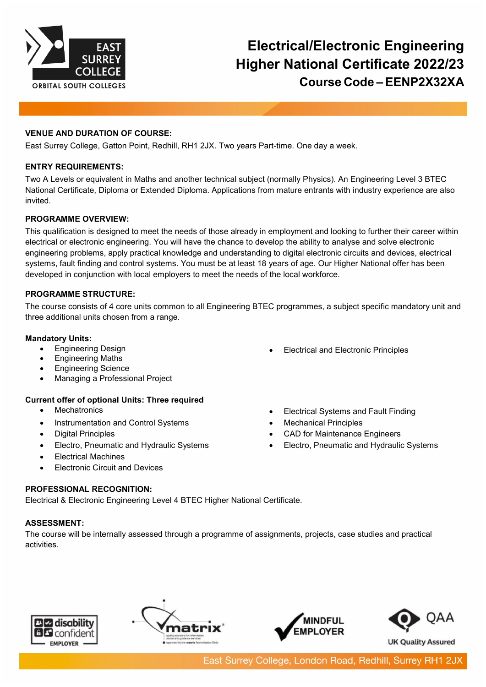

# **Electrical/Electronic Engineering Higher National Certificate 2022/23 Course Code – EENP2X32XA**

## **VENUE AND DURATION OF COURSE:**

East Surrey College, Gatton Point, Redhill, RH1 2JX. Two years Part-time. One day a week.

#### **ENTRY REQUIREMENTS:**

Two A Levels or equivalent in Maths and another technical subject (normally Physics). An Engineering Level 3 BTEC National Certificate, Diploma or Extended Diploma. Applications from mature entrants with industry experience are also invited.

#### **PROGRAMME OVERVIEW:**

This qualification is designed to meet the needs of those already in employment and looking to further their career within electrical or electronic engineering. You will have the chance to develop the ability to analyse and solve electronic engineering problems, apply practical knowledge and understanding to digital electronic circuits and devices, electrical systems, fault finding and control systems. You must be at least 18 years of age. Our Higher National offer has been developed in conjunction with local employers to meet the needs of the local workforce.

## **PROGRAMME STRUCTURE:**

The course consists of 4 core units common to all Engineering BTEC programmes, a subject specific mandatory unit and three additional units chosen from a range.

## **Mandatory Units:**

- Engineering Design
- Engineering Maths
- Engineering Science
- Managing a Professional Project

# **Current offer of optional Units: Three required**

- Mechatronics
- Instrumentation and Control Systems
- Digital Principles
- Electro, Pneumatic and Hydraulic Systems
- Electrical Machines
- **Electronic Circuit and Devices**
- Electrical and Electronic Principles
- Electrical Systems and Fault Finding
- Mechanical Principles
- CAD for Maintenance Engineers
- Electro, Pneumatic and Hydraulic Systems

# **PROFESSIONAL RECOGNITION:**

Electrical & Electronic Engineering Level 4 BTEC Higher National Certificate.

# **ASSESSMENT:**

The course will be internally assessed through a programme of assignments, projects, case studies and practical activities.